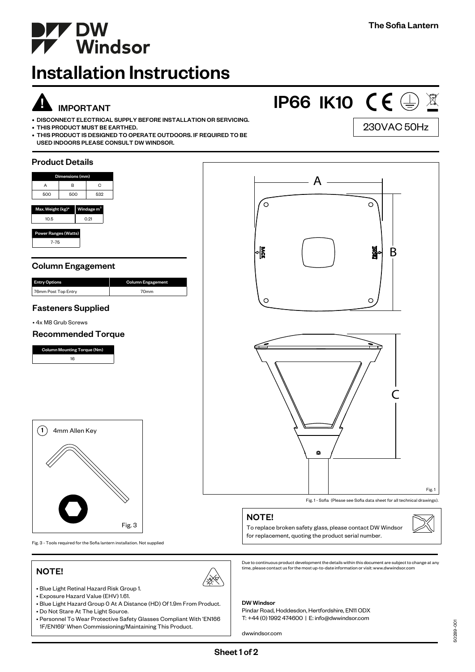230VAC 50Hz

**IP66 IK10 (E 4 X)** 



# Installation Instructions

# !<br>! IMPORTANT

- DISCONNECT ELECTRICAL SUPPLY BEFORE INSTALLATION OR SERVICING.
- THIS PRODUCT MUST BE EARTHED.
- THIS PRODUCT IS DESIGNED TO OPERATE OUTDOORS. IF REQUIRED TO BE USED INDOORS PLEASE CONSULT DW WINDSOR.

## Product Details Dimensions (mm) A A B C 500 500 532 °  $\circ$ Max. Weight (kg) $^{\star}$   $\,$   $\mid$  Windage m 10.5 0.21 ver Ranges (Watts 7-75 ๚ั 휇 B Column Engagement Entry Options **Column Engagement Column** Engagement Column Engagement Column Engagement Column Engag 76mm Post Top Entry 70mm  $\circ$  $\circ$ Fasteners Supplied • 4x M8 Grub Screws Recommended Torque Column Mounting Torque (Nm) 16 C $(1)$  4mm Allen Key Ō Fig. 1 Fig. 1 - Sofia (Please see Sofia data sheet for all technical drawings). NOTE! Fig. 3 To replace broken safety glass, please contact DW Windsor

Fig. 3 - Tools required for the Sofia lantern installation. Not supplied

## NOTE!



- Blue Light Retinal Hazard Risk Group 1. • Exposure Hazard Value (EHV) 1.61.
- 
- Blue Light Hazard Group 0 At A Distance (HD) Of 1.9m From Product.
- Do Not Stare At The Light Source.
- Personnel To Wear Protective Safety Glasses Compliant With 'EN166 1F/EN169' When Commissioning/Maintaining This Product.

for replacement, quoting the product serial number.

Due to continuous product development the details within this document are subject to change at any time, please contact us for the most up-to-date information or visit: www.dwwindsor.com

## DW Windsor

Pindar Road, Hoddesdon, Hertfordshire, EN11 ODX T: +44 (0) 1992 474600 | E: info@dwwindsor.com

dwwindsor.com

50289-001

 $\overline{5}$ 50289-